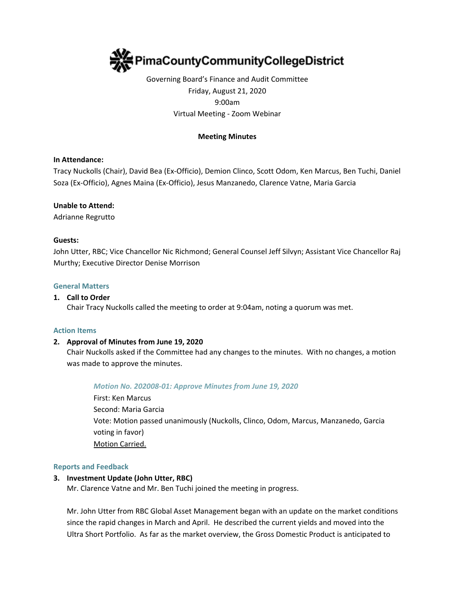

# Governing Board's Finance and Audit Committee Friday, August 21, 2020 9:00am Virtual Meeting - Zoom Webinar

### **Meeting Minutes**

### **In Attendance:**

Tracy Nuckolls (Chair), David Bea (Ex-Officio), Demion Clinco, Scott Odom, Ken Marcus, Ben Tuchi, Daniel Soza (Ex-Officio), Agnes Maina (Ex-Officio), Jesus Manzanedo, Clarence Vatne, Maria Garcia

### **Unable to Attend:**

Adrianne Regrutto

#### **Guests:**

John Utter, RBC; Vice Chancellor Nic Richmond; General Counsel Jeff Silvyn; Assistant Vice Chancellor Raj Murthy; Executive Director Denise Morrison

#### **General Matters**

#### **1. Call to Order**

Chair Tracy Nuckolls called the meeting to order at 9:04am, noting a quorum was met.

#### **Action Items**

### **2. Approval of Minutes from June 19, 2020**

Chair Nuckolls asked if the Committee had any changes to the minutes. With no changes, a motion was made to approve the minutes.

#### *Motion No. 202008-01: Approve Minutes from June 19, 2020*

First: Ken Marcus Second: Maria Garcia Vote: Motion passed unanimously (Nuckolls, Clinco, Odom, Marcus, Manzanedo, Garcia voting in favor) Motion Carried.

#### **Reports and Feedback**

#### **3. Investment Update (John Utter, RBC)**

Mr. Clarence Vatne and Mr. Ben Tuchi joined the meeting in progress.

Mr. John Utter from RBC Global Asset Management began with an update on the market conditions since the rapid changes in March and April. He described the current yields and moved into the Ultra Short Portfolio. As far as the market overview, the Gross Domestic Product is anticipated to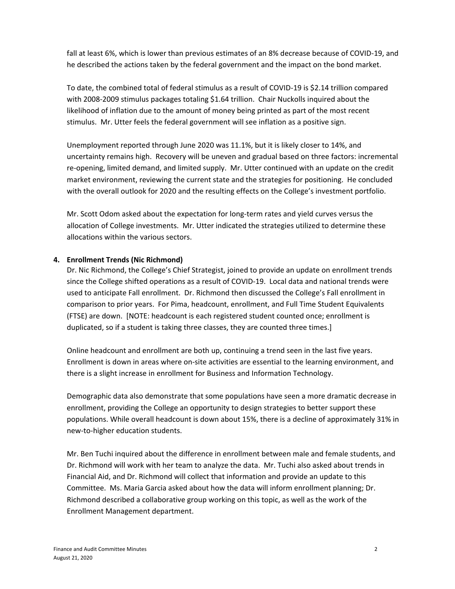fall at least 6%, which is lower than previous estimates of an 8% decrease because of COVID-19, and he described the actions taken by the federal government and the impact on the bond market.

To date, the combined total of federal stimulus as a result of COVID-19 is \$2.14 trillion compared with 2008-2009 stimulus packages totaling \$1.64 trillion. Chair Nuckolls inquired about the likelihood of inflation due to the amount of money being printed as part of the most recent stimulus. Mr. Utter feels the federal government will see inflation as a positive sign.

Unemployment reported through June 2020 was 11.1%, but it is likely closer to 14%, and uncertainty remains high. Recovery will be uneven and gradual based on three factors: incremental re-opening, limited demand, and limited supply. Mr. Utter continued with an update on the credit market environment, reviewing the current state and the strategies for positioning. He concluded with the overall outlook for 2020 and the resulting effects on the College's investment portfolio.

Mr. Scott Odom asked about the expectation for long-term rates and yield curves versus the allocation of College investments. Mr. Utter indicated the strategies utilized to determine these allocations within the various sectors.

# **4. Enrollment Trends (Nic Richmond)**

Dr. Nic Richmond, the College's Chief Strategist, joined to provide an update on enrollment trends since the College shifted operations as a result of COVID-19. Local data and national trends were used to anticipate Fall enrollment. Dr. Richmond then discussed the College's Fall enrollment in comparison to prior years. For Pima, headcount, enrollment, and Full Time Student Equivalents (FTSE) are down. [NOTE: headcount is each registered student counted once; enrollment is duplicated, so if a student is taking three classes, they are counted three times.]

Online headcount and enrollment are both up, continuing a trend seen in the last five years. Enrollment is down in areas where on-site activities are essential to the learning environment, and there is a slight increase in enrollment for Business and Information Technology.

Demographic data also demonstrate that some populations have seen a more dramatic decrease in enrollment, providing the College an opportunity to design strategies to better support these populations. While overall headcount is down about 15%, there is a decline of approximately 31% in new-to-higher education students.

Mr. Ben Tuchi inquired about the difference in enrollment between male and female students, and Dr. Richmond will work with her team to analyze the data. Mr. Tuchi also asked about trends in Financial Aid, and Dr. Richmond will collect that information and provide an update to this Committee. Ms. Maria Garcia asked about how the data will inform enrollment planning; Dr. Richmond described a collaborative group working on this topic, as well as the work of the Enrollment Management department.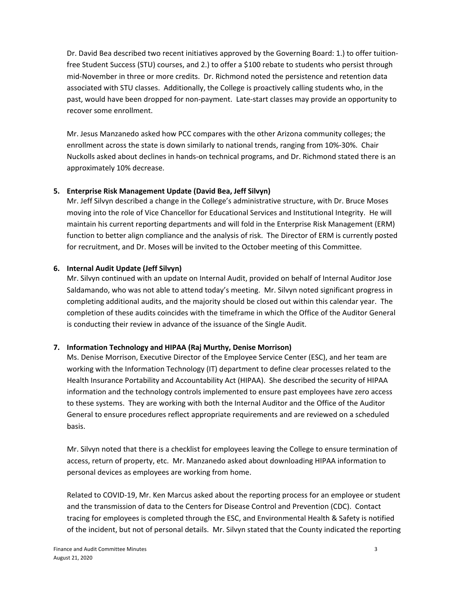Dr. David Bea described two recent initiatives approved by the Governing Board: 1.) to offer tuitionfree Student Success (STU) courses, and 2.) to offer a \$100 rebate to students who persist through mid-November in three or more credits. Dr. Richmond noted the persistence and retention data associated with STU classes. Additionally, the College is proactively calling students who, in the past, would have been dropped for non-payment. Late-start classes may provide an opportunity to recover some enrollment.

Mr. Jesus Manzanedo asked how PCC compares with the other Arizona community colleges; the enrollment across the state is down similarly to national trends, ranging from 10%-30%. Chair Nuckolls asked about declines in hands-on technical programs, and Dr. Richmond stated there is an approximately 10% decrease.

# **5. Enterprise Risk Management Update (David Bea, Jeff Silvyn)**

Mr. Jeff Silvyn described a change in the College's administrative structure, with Dr. Bruce Moses moving into the role of Vice Chancellor for Educational Services and Institutional Integrity. He will maintain his current reporting departments and will fold in the Enterprise Risk Management (ERM) function to better align compliance and the analysis of risk. The Director of ERM is currently posted for recruitment, and Dr. Moses will be invited to the October meeting of this Committee.

### **6. Internal Audit Update (Jeff Silvyn)**

Mr. Silvyn continued with an update on Internal Audit, provided on behalf of Internal Auditor Jose Saldamando, who was not able to attend today's meeting. Mr. Silvyn noted significant progress in completing additional audits, and the majority should be closed out within this calendar year. The completion of these audits coincides with the timeframe in which the Office of the Auditor General is conducting their review in advance of the issuance of the Single Audit.

# **7. Information Technology and HIPAA (Raj Murthy, Denise Morrison)**

Ms. Denise Morrison, Executive Director of the Employee Service Center (ESC), and her team are working with the Information Technology (IT) department to define clear processes related to the Health Insurance Portability and Accountability Act (HIPAA). She described the security of HIPAA information and the technology controls implemented to ensure past employees have zero access to these systems. They are working with both the Internal Auditor and the Office of the Auditor General to ensure procedures reflect appropriate requirements and are reviewed on a scheduled basis.

Mr. Silvyn noted that there is a checklist for employees leaving the College to ensure termination of access, return of property, etc. Mr. Manzanedo asked about downloading HIPAA information to personal devices as employees are working from home.

Related to COVID-19, Mr. Ken Marcus asked about the reporting process for an employee or student and the transmission of data to the Centers for Disease Control and Prevention (CDC). Contact tracing for employees is completed through the ESC, and Environmental Health & Safety is notified of the incident, but not of personal details. Mr. Silvyn stated that the County indicated the reporting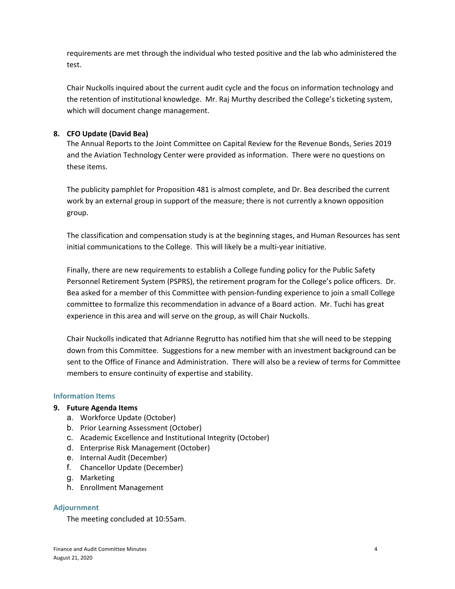requirements are met through the individual who tested positive and the lab who administered the test.

Chair Nuckolls inquired about the current audit cycle and the focus on information technology and the retention of institutional knowledge. Mr. Raj Murthy described the College's ticketing system, which will document change management.

# **8. CFO Update (David Bea)**

The Annual Reports to the Joint Committee on Capital Review for the Revenue Bonds, Series 2019 and the Aviation Technology Center were provided as information. There were no questions on these items.

The publicity pamphlet for Proposition 481 is almost complete, and Dr. Bea described the current work by an external group in support of the measure; there is not currently a known opposition group.

The classification and compensation study is at the beginning stages, and Human Resources has sent initial communications to the College. This will likely be a multi-year initiative.

Finally, there are new requirements to establish a College funding policy for the Public Safety Personnel Retirement System (PSPRS), the retirement program for the College's police officers. Dr. Bea asked for a member of this Committee with pension-funding experience to join a small College committee to formalize this recommendation in advance of a Board action. Mr. Tuchi has great experience in this area and will serve on the group, as will Chair Nuckolls.

Chair Nuckolls indicated that Adrianne Regrutto has notified him that she will need to be stepping down from this Committee. Suggestions for a new member with an investment background can be sent to the Office of Finance and Administration. There will also be a review of terms for Committee members to ensure continuity of expertise and stability.

# **Information Items**

# **9. Future Agenda Items**

- a. Workforce Update (October)
- b. Prior Learning Assessment (October)
- c. Academic Excellence and Institutional Integrity (October)
- d. Enterprise Risk Management (October)
- e. Internal Audit (December)
- f. Chancellor Update (December)
- g. Marketing
- h. Enrollment Management

# **Adjournment**

The meeting concluded at 10:55am.